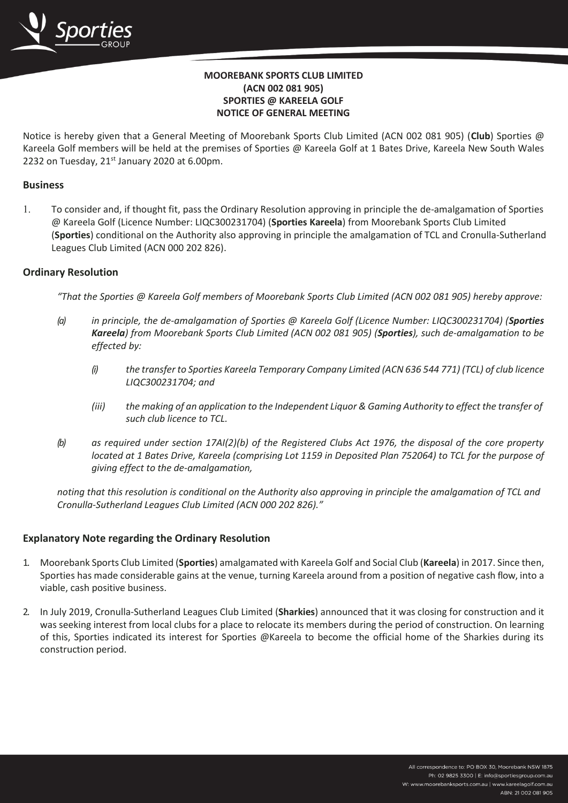

# **MOOREBANK SPORTS CLUB LIMITED (ACN 002 081 905) SPORTIES @ KAREELA GOLF NOTICE OF GENERAL MEETING**

Notice is hereby given that a General Meeting of Moorebank Sports Club Limited (ACN 002 081 905) (**Club**) Sporties @ Kareela Golf members will be held at the premises of Sporties @ Kareela Golf at 1 Bates Drive, Kareela New South Wales 2232 on Tuesday, 21<sup>st</sup> January 2020 at 6.00pm.

### **Business**

 To consider and, if thought fit, pass the Ordinary Resolution approving in principle the de-amalgamation of Sporties @ Kareela Golf (Licence Number: LIQC300231704) (**Sporties Kareela**) from Moorebank Sports Club Limited (**Sporties**) conditional on the Authority also approving in principle the amalgamation of TCL and Cronulla-Sutherland Leagues Club Limited (ACN 000 202 826).

#### **Ordinary Resolution**

*"That the Sporties @ Kareela Golf members of Moorebank Sports Club Limited (ACN 002 081 905) hereby approve:*

- *(a) in principle, the de-amalgamation of Sporties @ Kareela Golf (Licence Number: LIQC300231704) (Sporties Kareela) from Moorebank Sports Club Limited (ACN 002 081 905) (Sporties), such de-amalgamation to be effected by:*
	- *(i) the transfer to Sporties Kareela Temporary Company Limited (ACN 636 544 771) (TCL) of club licence LIQC300231704; and*
	- (iii) the making of an application to the Independent Liguor & Gaming Authority to effect the transfer of *such club licence to TCL.*
- *(b) as required under section 17AI(2)(b) of the Registered Clubs Act 1976, the disposal of the core property located at 1 Bates Drive, Kareela (comprising Lot 1159 in Deposited Plan 752064) to TCL for the purpose of giving effect to the de-amalgamation,*

*noting that this resolution is conditional on the Authority also approving in principle the amalgamation of TCL and Cronulla-Sutherland Leagues Club Limited (ACN 000 202 826)."*

## **Explanatory Note regarding the Ordinary Resolution**

- 1. Moorebank Sports Club Limited (**Sporties**) amalgamated with Kareela Golf and Social Club (**Kareela**) in 2017. Since then, Sporties has made considerable gains at the venue, turning Kareela around from a position of negative cash flow, into a viable, cash positive business.
- 2. In July 2019, Cronulla-Sutherland Leagues Club Limited (**Sharkies**) announced that it was closing for construction and it was seeking interest from local clubs for a place to relocate its members during the period of construction. On learning of this, Sporties indicated its interest for Sporties @Kareela to become the official home of the Sharkies during its construction period.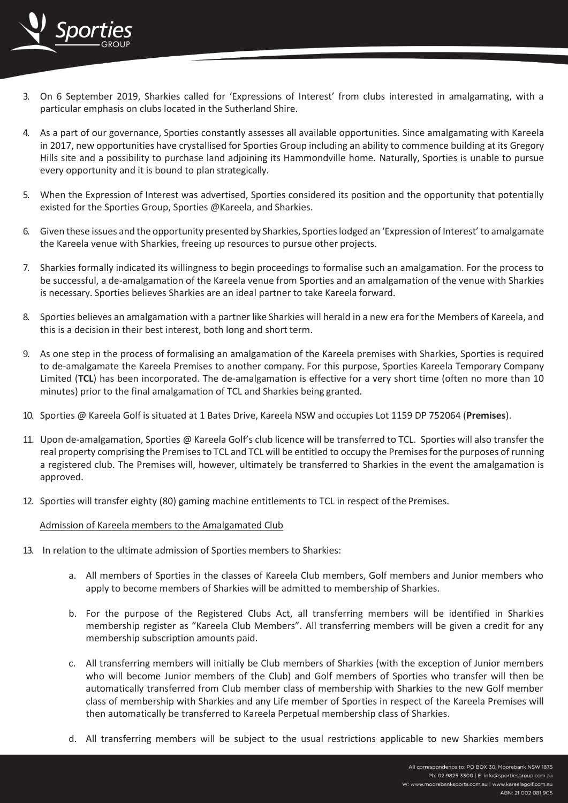

- 3. On 6 September 2019, Sharkies called for 'Expressions of Interest' from clubs interested in amalgamating, with a particular emphasis on clubs located in the Sutherland Shire.
- 4. As a part of our governance, Sporties constantly assesses all available opportunities. Since amalgamating with Kareela in 2017, new opportunities have crystallised for Sporties Group including an ability to commence building at its Gregory Hills site and a possibility to purchase land adjoining its Hammondville home. Naturally, Sporties is unable to pursue every opportunity and it is bound to plan strategically.
- 5. When the Expression of Interest was advertised, Sporties considered its position and the opportunity that potentially existed for the Sporties Group, Sporties @Kareela, and Sharkies.
- 6. Given these issues and the opportunity presented by Sharkies, Sportieslodged an 'Expression of Interest'to amalgamate the Kareela venue with Sharkies, freeing up resources to pursue other projects.
- 7. Sharkies formally indicated its willingness to begin proceedings to formalise such an amalgamation. For the process to be successful, a de-amalgamation of the Kareela venue from Sporties and an amalgamation of the venue with Sharkies is necessary. Sporties believes Sharkies are an ideal partner to take Kareela forward.
- 8. Sporties believes an amalgamation with a partner like Sharkies will herald in a new era for the Members of Kareela, and this is a decision in their best interest, both long and short term.
- 9. As one step in the process of formalising an amalgamation of the Kareela premises with Sharkies, Sporties is required to de-amalgamate the Kareela Premises to another company. For this purpose, Sporties Kareela Temporary Company Limited (**TCL**) has been incorporated. The de-amalgamation is effective for a very short time (often no more than 10 minutes) prior to the final amalgamation of TCL and Sharkies being granted.
- 10. Sporties @ Kareela Golf is situated at 1 Bates Drive, Kareela NSW and occupies Lot 1159 DP 752064 (**Premises**).
- 11. Upon de-amalgamation, Sporties @ Kareela Golf's club licence will be transferred to TCL. Sporties will also transfer the real property comprising the Premisesto TCL and TCL will be entitled to occupy the Premisesforthe purposes ofrunning a registered club. The Premises will, however, ultimately be transferred to Sharkies in the event the amalgamation is approved.
- 12. Sporties will transfer eighty (80) gaming machine entitlements to TCL in respect of the Premises.

#### Admission of Kareela members to the Amalgamated Club

- 13. In relation to the ultimate admission of Sporties members to Sharkies:
	- a. All members of Sporties in the classes of Kareela Club members, Golf members and Junior members who apply to become members of Sharkies will be admitted to membership of Sharkies.
	- b. For the purpose of the Registered Clubs Act, all transferring members will be identified in Sharkies membership register as "Kareela Club Members". All transferring members will be given a credit for any membership subscription amounts paid.
	- c. All transferring members will initially be Club members of Sharkies (with the exception of Junior members who will become Junior members of the Club) and Golf members of Sporties who transfer will then be automatically transferred from Club member class of membership with Sharkies to the new Golf member class of membership with Sharkies and any Life member of Sporties in respect of the Kareela Premises will then automatically be transferred to Kareela Perpetual membership class of Sharkies.
	- d. All transferring members will be subject to the usual restrictions applicable to new Sharkies members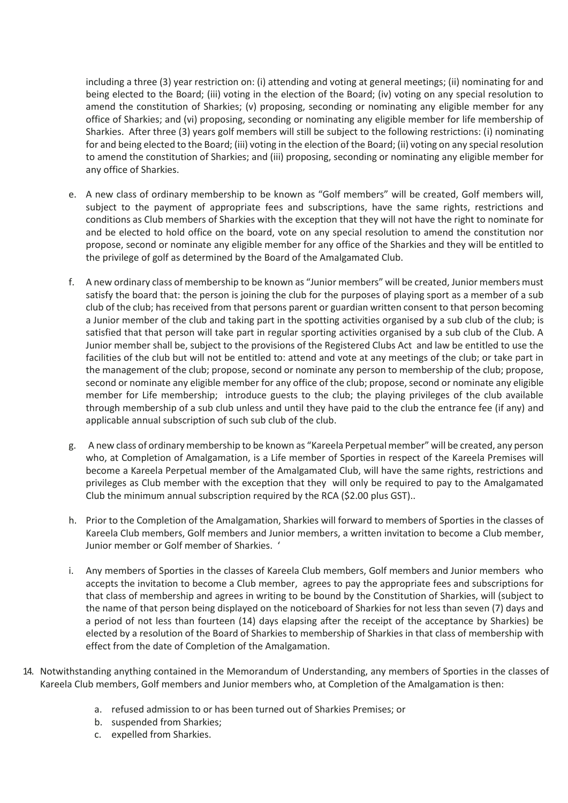including a three (3) year restriction on: (i) attending and voting at general meetings; (ii) nominating for and being elected to the Board; (iii) voting in the election of the Board; (iv) voting on any special resolution to amend the constitution of Sharkies; (v) proposing, seconding or nominating any eligible member for any office of Sharkies; and (vi) proposing, seconding or nominating any eligible member for life membership of Sharkies. After three (3) years golf members will still be subject to the following restrictions: (i) nominating for and being elected to the Board; (iii) voting in the election of the Board; (ii) voting on any special resolution to amend the constitution of Sharkies; and (iii) proposing, seconding or nominating any eligible member for any office of Sharkies.

- e. A new class of ordinary membership to be known as "Golf members" will be created, Golf members will, subject to the payment of appropriate fees and subscriptions, have the same rights, restrictions and conditions as Club members of Sharkies with the exception that they will not have the right to nominate for and be elected to hold office on the board, vote on any special resolution to amend the constitution nor propose, second or nominate any eligible member for any office of the Sharkies and they will be entitled to the privilege of golf as determined by the Board of the Amalgamated Club.
- f. A new ordinary class of membership to be known as "Junior members" will be created, Junior members must satisfy the board that: the person is joining the club for the purposes of playing sport as a member of a sub club of the club; has received from that persons parent or guardian written consent to that person becoming a Junior member of the club and taking part in the spotting activities organised by a sub club of the club; is satisfied that that person will take part in regular sporting activities organised by a sub club of the Club. A Junior member shall be, subject to the provisions of the Registered Clubs Act and law be entitled to use the facilities of the club but will not be entitled to: attend and vote at any meetings of the club; or take part in the management of the club; propose, second or nominate any person to membership of the club; propose, second or nominate any eligible member for any office of the club; propose, second or nominate any eligible member for Life membership; introduce guests to the club; the playing privileges of the club available through membership of a sub club unless and until they have paid to the club the entrance fee (if any) and applicable annual subscription of such sub club of the club.
- g. A new class of ordinary membership to be known as "Kareela Perpetual member" will be created, any person who, at Completion of Amalgamation, is a Life member of Sporties in respect of the Kareela Premises will become a Kareela Perpetual member of the Amalgamated Club, will have the same rights, restrictions and privileges as Club member with the exception that they will only be required to pay to the Amalgamated Club the minimum annual subscription required by the RCA (\$2.00 plus GST)..
- h. Prior to the Completion of the Amalgamation, Sharkies will forward to members of Sporties in the classes of Kareela Club members, Golf members and Junior members, a written invitation to become a Club member, Junior member or Golf member of Sharkies. '
- i. Any members of Sporties in the classes of Kareela Club members, Golf members and Junior members who accepts the invitation to become a Club member, agrees to pay the appropriate fees and subscriptions for that class of membership and agrees in writing to be bound by the Constitution of Sharkies, will (subject to the name of that person being displayed on the noticeboard of Sharkies for not less than seven (7) days and a period of not less than fourteen (14) days elapsing after the receipt of the acceptance by Sharkies) be elected by a resolution of the Board of Sharkies to membership of Sharkies in that class of membership with effect from the date of Completion of the Amalgamation.
- 14. Notwithstanding anything contained in the Memorandum of Understanding, any members of Sporties in the classes of Kareela Club members, Golf members and Junior members who, at Completion of the Amalgamation is then:
	- a. refused admission to or has been turned out of Sharkies Premises; or
	- b. suspended from Sharkies;
	- c. expelled from Sharkies.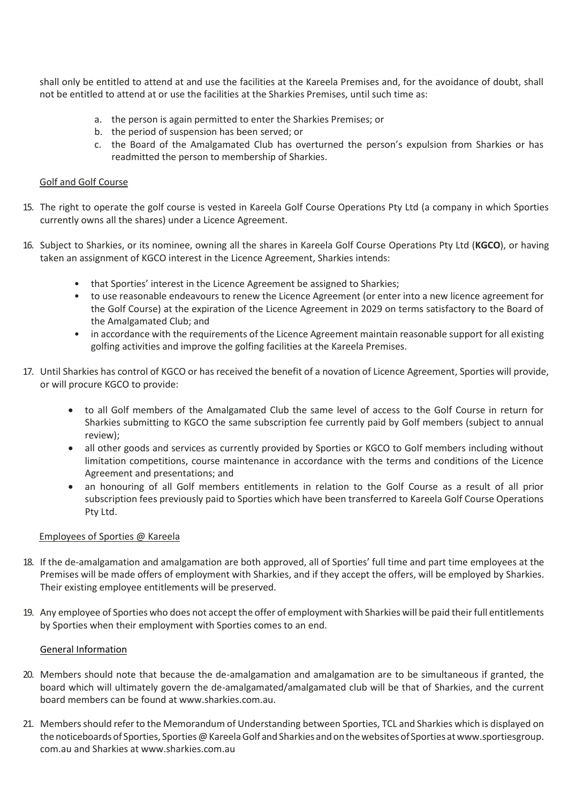shall only be entitled to attend at and use the facilities at the Kareela Premises and, for the avoidance of doubt, shall not be entitled to attend at or use the facilities at the Sharkies Premises, until such time as:

- a. the person is again permitted to enter the Sharkies Premises; or
- b. the period of suspension has been served; or
- c. the Board of the Amalgamated Club has overturned the person's expulsion from Sharkies or has readmitted the person to membership of Sharkies.

#### Golf and Golf Course

- 15. The right to operate the golf course is vested in Kareela Golf Course Operations Pty Ltd (a company in which Sporties currently owns all the shares) under a Licence Agreement.
- 16. Subject to Sharkies, or its nominee, owning all the shares in Kareela Golf Course Operations Pty Ltd (**KGCO**), or having taken an assignment of KGCO interest in the Licence Agreement, Sharkies intends:
	- that Sporties' interest in the Licence Agreement be assigned to Sharkies;
	- to use reasonable endeavours to renew the Licence Agreement (or enter into a new licence agreement for the Golf Course) at the expiration of the Licence Agreement in 2029 on terms satisfactory to the Board of the Amalgamated Club; and
	- in accordance with the requirements of the Licence Agreement maintain reasonable support for all existing golfing activities and improve the golfing facilities at the Kareela Premises.
- 17. Until Sharkies has control of KGCO or has received the benefit of a novation of Licence Agreement, Sporties will provide, or will procure KGCO to provide:
	- to all Golf members of the Amalgamated Club the same level of access to the Golf Course in return for Sharkies submitting to KGCO the same subscription fee currently paid by Golf members (subject to annual review);
	- all other goods and services as currently provided by Sporties or KGCO to Golf members including without limitation competitions, course maintenance in accordance with the terms and conditions of the Licence Agreement and presentations; and
	- an honouring of all Golf members entitlements in relation to the Golf Course as a result of all prior subscription fees previously paid to Sporties which have been transferred to Kareela Golf Course Operations Pty Ltd.

#### Employees of Sporties @ Kareela

- 18. If the de-amalgamation and amalgamation are both approved, all of Sporties' full time and part time employees at the Premises will be made offers of employment with Sharkies, and if they accept the offers, will be employed by Sharkies. Their existing employee entitlements will be preserved.
- 19. Any employee of Sporties who does not accept the offer of employment with Sharkies will be paid their full entitlements by Sporties when their employment with Sporties comes to an end.

#### General Information

- 20. Members should note that because the de-amalgamation and amalgamation are to be simultaneous if granted, the board which will ultimately govern the de-amalgamated/amalgamated club will be that of Sharkies, and the current board members can be found at [www.sharkies.com.au.](http://www.sharkies.com.au/)
- 21. Membersshould referto the Memorandum of Understanding between Sporties, TCL and Sharkies which is displayed on the noticeboards of Sporties, Sporties @ Kareela Golf and Sharkies and on the websites of Sporties at www.sportiesgroup. com.au and Sharkies at [www.sharkies.com.au](http://www.sharkies.com.au/)